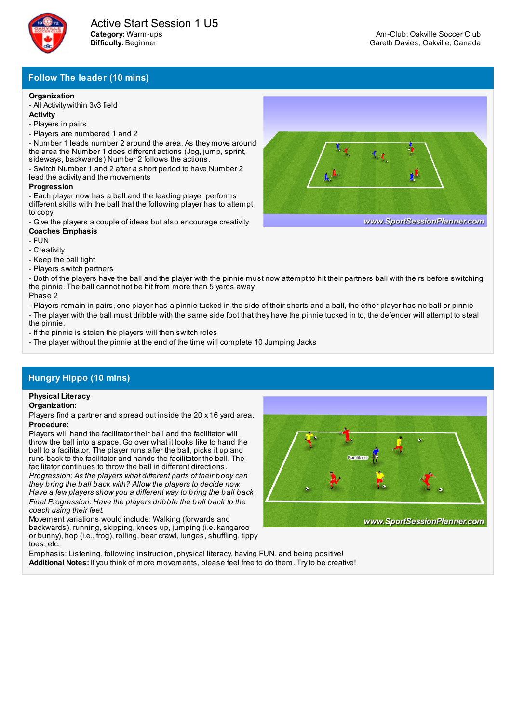

## **Follow The leader (10 mins)**

#### **Organization**

- All Activity within 3v3 field

- **Activity**
- Players in pairs
- Players are numbered 1 and 2

- Number 1 leads number 2 around the area. As they move around the area the Number 1 does different actions (Jog, jump, sprint, sideways, backwards) Number 2 follows the actions.

- Switch Number 1 and 2 after a short period to have Number 2 lead the activity and the movements

#### **Progression**

- Each player now has a ball and the leading player performs different skills with the ball that the following player has to attempt to copy

- Give the players a couple of ideas but also encourage creativity **Coaches Emphasis**

- FUN
- Creativity

- Keep the ball tight

- Players switch partners

- Both of the players have the ball and the player with the pinnie must now attempt to hit their partners ball with theirs before switching the pinnie. The ball cannot not be hit from more than 5 yards away. Phase 2

- Players remain in pairs, one player has a pinnie tucked in the side of their shorts and a ball, the other player has no ball or pinnie

- The player with the ball must dribble with the same side foot that they have the pinnie tucked in to, the defender will attempt to steal the pinnie.

- If the pinnie is stolen the players will then switch roles

- The player without the pinnie at the end of the time will complete 10 Jumping Jacks

# **Hungry Hippo (10 mins)**

## **Physical Literacy**

#### **Organization:**

Players find a partner and spread out inside the 20 x 16 yard area. **Procedure:**

Players will hand the facilitator their ball and the facilitator will throw the ball into a space. Go over what it looks like to hand the ball to a facilitator. The player runs after the ball, picks it up and runs back to the facilitator and hands the facilitator the ball. The facilitator continues to throw the ball in different directions.

*Progression: As the players what different parts of their body can they bring the ball back with? Allow the players to decide now. Have a few players show you a different way to bring the ball back. Final Progression: Have the players dribble the ball back to the coach using their feet.*

Movement variations would include: Walking (forwards and backwards), running, skipping, knees up, jumping (i.e. kangaroo or bunny), hop (i.e., frog), rolling, bear crawl, lunges, shuffling, tippy toes, etc.



Emphasis: Listening, following instruction, physical literacy, having FUN, and being positive! **Additional Notes:** If you think of more movements, please feel free to do them. Tryto be creative!



www.SportSessionPlanner.com